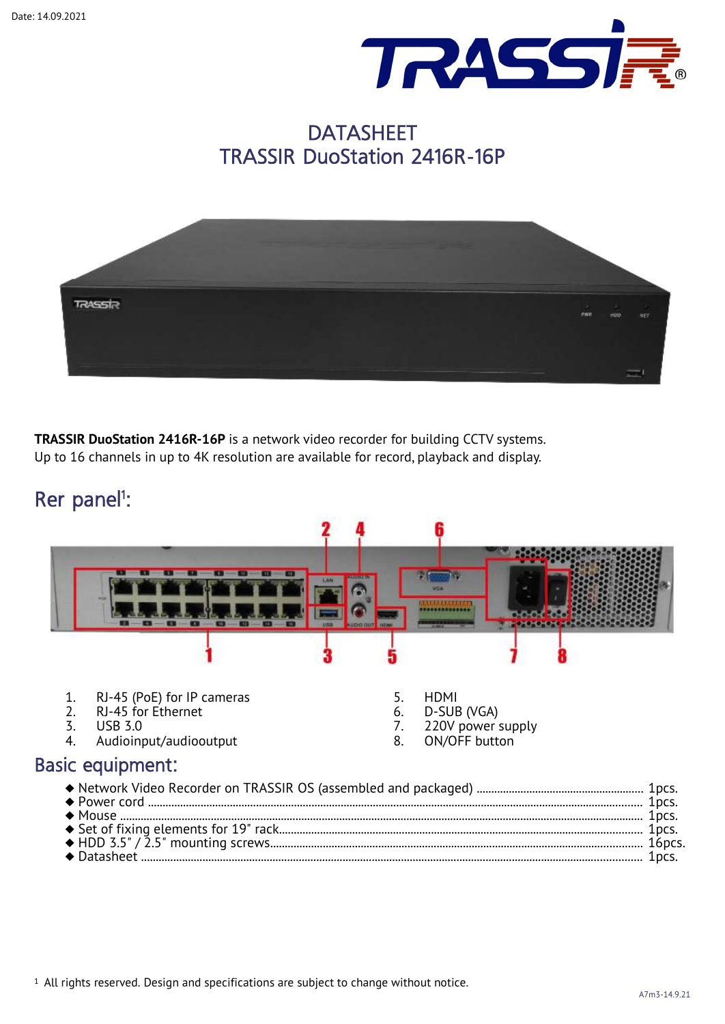

## **DATASHEET** TRASSIR DuoStation 2416R-16P



**TRASSIR DuoStation 2416R-16P** is a network video recorder for building CCTV systems. Up to 16 channels in up to 4K resolution are available for record, playback and display.

## Rer panel<sup>1</sup>: